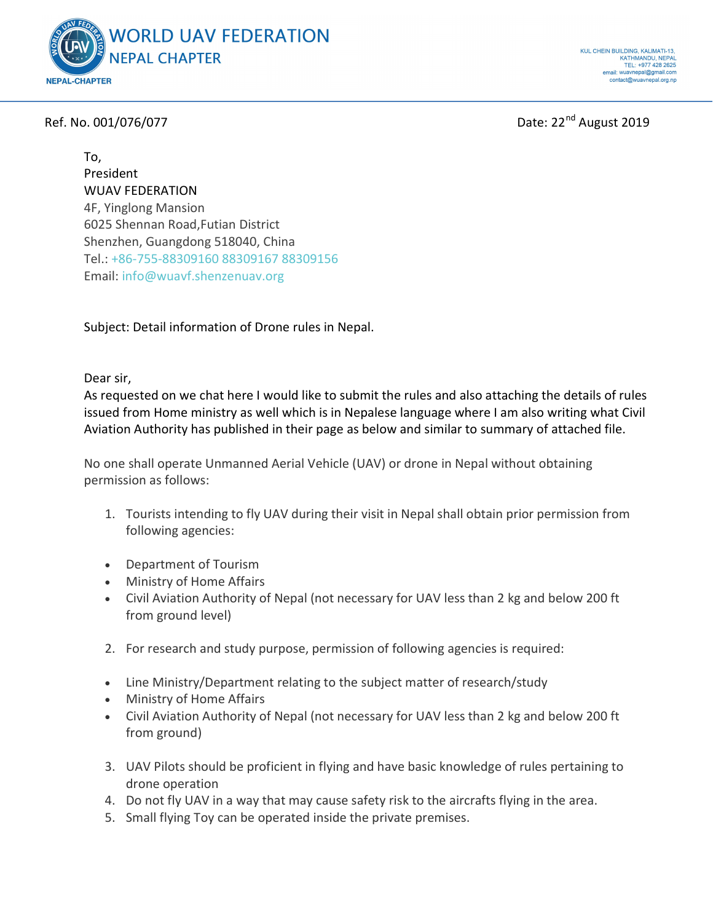

Ref. No. 001/076/077 **Date: 22<sup>nd</sup> August 2019** 

To, President WUAV FEDERATION 4F, Yinglong Mansion 6025 Shennan Road,Futian District Shenzhen, Guangdong 518040, China Tel.: +86-755-88309160 88309167 88309156 Email: info@wuavf.shenzenuav.org

Subject: Detail information of Drone rules in Nepal.

Dear sir,

As requested on we chat here I would like to submit the rules and also attaching the details of rules issued from Home ministry as well which is in Nepalese language where I am also writing what Civil Aviation Authority has published in their page as below and similar to summary of attached file.

No one shall operate Unmanned Aerial Vehicle (UAV) or drone in Nepal without obtaining permission as follows:

- 1. Tourists intending to fly UAV during their visit in Nepal shall obtain prior permission from following agencies:
- Department of Tourism
- Ministry of Home Affairs
- Civil Aviation Authority of Nepal (not necessary for UAV less than 2 kg and below 200 ft from ground level)
- 2. For research and study purpose, permission of following agencies is required:
- Line Ministry/Department relating to the subject matter of research/study
- Ministry of Home Affairs
- Civil Aviation Authority of Nepal (not necessary for UAV less than 2 kg and below 200 ft from ground)
- 3. UAV Pilots should be proficient in flying and have basic knowledge of rules pertaining to drone operation
- 4. Do not fly UAV in a way that may cause safety risk to the aircrafts flying in the area.
- 5. Small flying Toy can be operated inside the private premises.